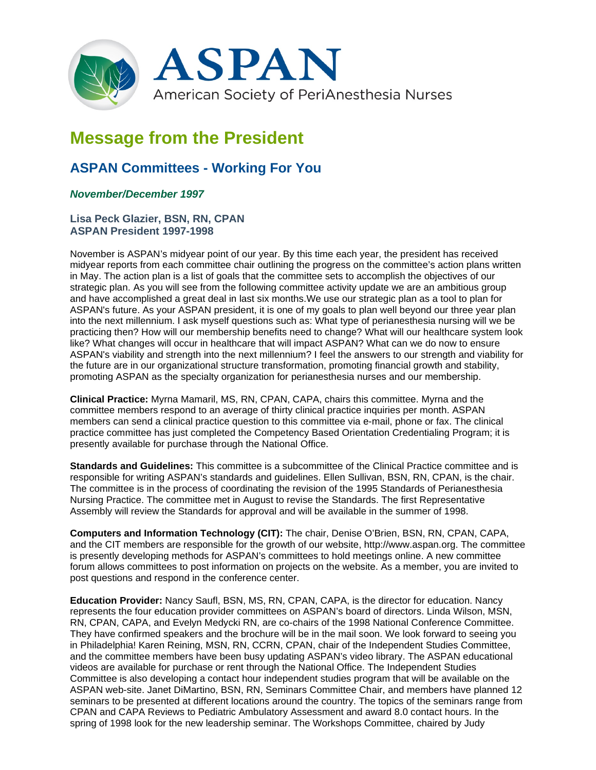

## **Message from the President**

## **ASPAN Committees - Working For You**

## *November/December 1997*

## **Lisa Peck Glazier, BSN, RN, CPAN ASPAN President 1997-1998**

November is ASPAN's midyear point of our year. By this time each year, the president has received midyear reports from each committee chair outlining the progress on the committee's action plans written in May. The action plan is a list of goals that the committee sets to accomplish the objectives of our strategic plan. As you will see from the following committee activity update we are an ambitious group and have accomplished a great deal in last six months.We use our strategic plan as a tool to plan for ASPAN's future. As your ASPAN president, it is one of my goals to plan well beyond our three year plan into the next millennium. I ask myself questions such as: What type of perianesthesia nursing will we be practicing then? How will our membership benefits need to change? What will our healthcare system look like? What changes will occur in healthcare that will impact ASPAN? What can we do now to ensure ASPAN's viability and strength into the next millennium? I feel the answers to our strength and viability for the future are in our organizational structure transformation, promoting financial growth and stability, promoting ASPAN as the specialty organization for perianesthesia nurses and our membership.

**Clinical Practice:** Myrna Mamaril, MS, RN, CPAN, CAPA, chairs this committee. Myrna and the committee members respond to an average of thirty clinical practice inquiries per month. ASPAN members can send a clinical practice question to this committee via e-mail, phone or fax. The clinical practice committee has just completed the Competency Based Orientation Credentialing Program; it is presently available for purchase through the National Office.

**Standards and Guidelines:** This committee is a subcommittee of the Clinical Practice committee and is responsible for writing ASPAN's standards and guidelines. Ellen Sullivan, BSN, RN, CPAN, is the chair. The committee is in the process of coordinating the revision of the 1995 Standards of Perianesthesia Nursing Practice. The committee met in August to revise the Standards. The first Representative Assembly will review the Standards for approval and will be available in the summer of 1998.

**Computers and Information Technology (CIT):** The chair, Denise O'Brien, BSN, RN, CPAN, CAPA, and the CIT members are responsible for the growth of our website, http://www.aspan.org. The committee is presently developing methods for ASPAN's committees to hold meetings online. A new committee forum allows committees to post information on projects on the website. As a member, you are invited to post questions and respond in the conference center.

**Education Provider:** Nancy Saufl, BSN, MS, RN, CPAN, CAPA, is the director for education. Nancy represents the four education provider committees on ASPAN's board of directors. Linda Wilson, MSN, RN, CPAN, CAPA, and Evelyn Medycki RN, are co-chairs of the 1998 National Conference Committee. They have confirmed speakers and the brochure will be in the mail soon. We look forward to seeing you in Philadelphia! Karen Reining, MSN, RN, CCRN, CPAN, chair of the Independent Studies Committee, and the committee members have been busy updating ASPAN's video library. The ASPAN educational videos are available for purchase or rent through the National Office. The Independent Studies Committee is also developing a contact hour independent studies program that will be available on the ASPAN web-site. Janet DiMartino, BSN, RN, Seminars Committee Chair, and members have planned 12 seminars to be presented at different locations around the country. The topics of the seminars range from CPAN and CAPA Reviews to Pediatric Ambulatory Assessment and award 8.0 contact hours. In the spring of 1998 look for the new leadership seminar. The Workshops Committee, chaired by Judy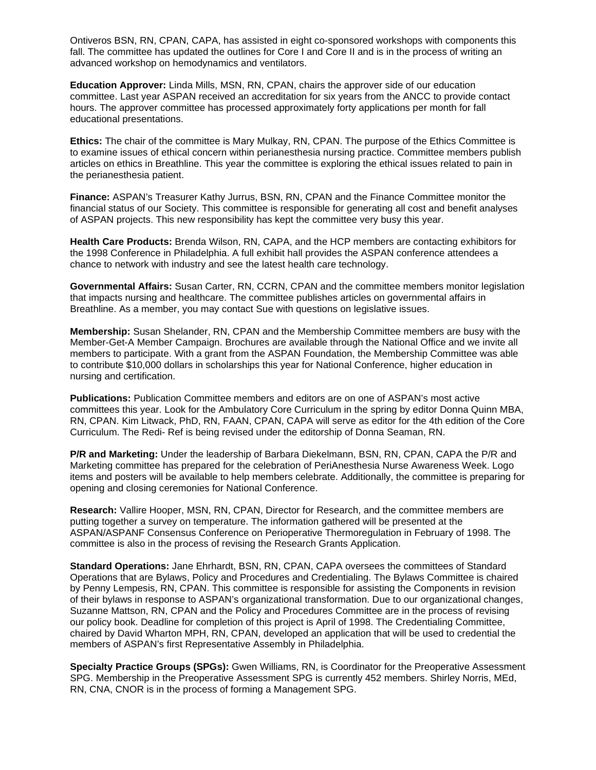Ontiveros BSN, RN, CPAN, CAPA, has assisted in eight co-sponsored workshops with components this fall. The committee has updated the outlines for Core I and Core II and is in the process of writing an advanced workshop on hemodynamics and ventilators.

**Education Approver:** Linda Mills, MSN, RN, CPAN, chairs the approver side of our education committee. Last year ASPAN received an accreditation for six years from the ANCC to provide contact hours. The approver committee has processed approximately forty applications per month for fall educational presentations.

**Ethics:** The chair of the committee is Mary Mulkay, RN, CPAN. The purpose of the Ethics Committee is to examine issues of ethical concern within perianesthesia nursing practice. Committee members publish articles on ethics in Breathline. This year the committee is exploring the ethical issues related to pain in the perianesthesia patient.

**Finance:** ASPAN's Treasurer Kathy Jurrus, BSN, RN, CPAN and the Finance Committee monitor the financial status of our Society. This committee is responsible for generating all cost and benefit analyses of ASPAN projects. This new responsibility has kept the committee very busy this year.

**Health Care Products:** Brenda Wilson, RN, CAPA, and the HCP members are contacting exhibitors for the 1998 Conference in Philadelphia. A full exhibit hall provides the ASPAN conference attendees a chance to network with industry and see the latest health care technology.

**Governmental Affairs:** Susan Carter, RN, CCRN, CPAN and the committee members monitor legislation that impacts nursing and healthcare. The committee publishes articles on governmental affairs in Breathline. As a member, you may contact Sue with questions on legislative issues.

**Membership:** Susan Shelander, RN, CPAN and the Membership Committee members are busy with the Member-Get-A Member Campaign. Brochures are available through the National Office and we invite all members to participate. With a grant from the ASPAN Foundation, the Membership Committee was able to contribute \$10,000 dollars in scholarships this year for National Conference, higher education in nursing and certification.

**Publications:** Publication Committee members and editors are on one of ASPAN's most active committees this year. Look for the Ambulatory Core Curriculum in the spring by editor Donna Quinn MBA, RN, CPAN. Kim Litwack, PhD, RN, FAAN, CPAN, CAPA will serve as editor for the 4th edition of the Core Curriculum. The Redi- Ref is being revised under the editorship of Donna Seaman, RN.

**P/R and Marketing:** Under the leadership of Barbara Diekelmann, BSN, RN, CPAN, CAPA the P/R and Marketing committee has prepared for the celebration of PeriAnesthesia Nurse Awareness Week. Logo items and posters will be available to help members celebrate. Additionally, the committee is preparing for opening and closing ceremonies for National Conference.

**Research:** Vallire Hooper, MSN, RN, CPAN, Director for Research, and the committee members are putting together a survey on temperature. The information gathered will be presented at the ASPAN/ASPANF Consensus Conference on Perioperative Thermoregulation in February of 1998. The committee is also in the process of revising the Research Grants Application.

**Standard Operations:** Jane Ehrhardt, BSN, RN, CPAN, CAPA oversees the committees of Standard Operations that are Bylaws, Policy and Procedures and Credentialing. The Bylaws Committee is chaired by Penny Lempesis, RN, CPAN. This committee is responsible for assisting the Components in revision of their bylaws in response to ASPAN's organizational transformation. Due to our organizational changes, Suzanne Mattson, RN, CPAN and the Policy and Procedures Committee are in the process of revising our policy book. Deadline for completion of this project is April of 1998. The Credentialing Committee, chaired by David Wharton MPH, RN, CPAN, developed an application that will be used to credential the members of ASPAN's first Representative Assembly in Philadelphia.

**Specialty Practice Groups (SPGs):** Gwen Williams, RN, is Coordinator for the Preoperative Assessment SPG. Membership in the Preoperative Assessment SPG is currently 452 members. Shirley Norris, MEd, RN, CNA, CNOR is in the process of forming a Management SPG.